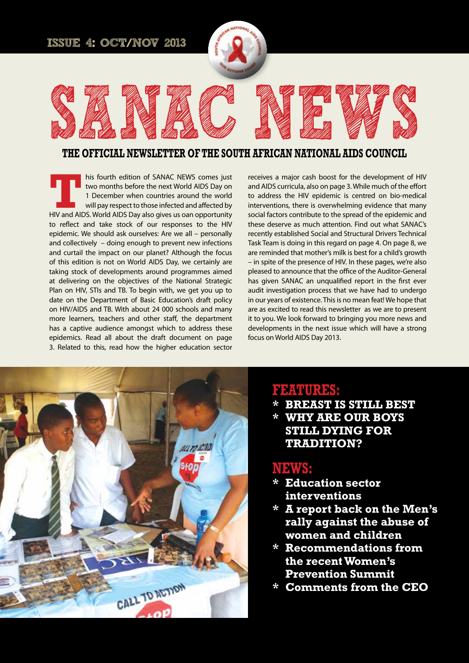#### **Issue 4: OCT/NOV 2013**



# **SANAC NEWS the official newsletter of the south african national aids council**

**THE TEND IS FOUR MET THE MANAC NEWS COMES JUST THE TERM OF A DECEMBENT OF A DECEMBENT OF A DECEMBENT OF A DECEMBENT OF A DECEMBENT OF A DECEMBENT OF A DECEMBENT OF A DECEMBENT OF A DECEMBENT OF A DECEMBENT OF A DECEMBENT** two months before the next World AIDS Day on 1 December when countries around the world will pay respect to those infected and affected by to reflect and take stock of our responses to the HIV epidemic. We should ask ourselves: Are we all – personally and collectively – doing enough to prevent new infections and curtail the impact on our planet? Although the focus of this edition is not on World AIDS Day, we certainly are taking stock of developments around programmes aimed at delivering on the objectives of the National Strategic Plan on HIV, STIs and TB. To begin with, we get you up to date on the Department of Basic Education's draft policy on HIV/AIDS and TB. With about 24 000 schools and many more learners, teachers and other staff, the department has a captive audience amongst which to address these epidemics. Read all about the draft document on page 3. Related to this, read how the higher education sector

receives a major cash boost for the development of HIV and AIDS curricula, also on page 3. While much of the effort to address the HIV epidemic is centred on bio-medical interventions, there is overwhelming evidence that many social factors contribute to the spread of the epidemic and these deserve as much attention. Find out what SANAC's recently established Social and Structural Drivers Technical Task Team is doing in this regard on page 4. On page 8, we are reminded that mother's milk is best for a child's growth – in spite of the presence of HIV. In these pages, we're also pleased to announce that the office of the Auditor-General has given SANAC an unqualified report in the first ever audit investigation process that we have had to undergo in our years of existence. This is no mean feat! We hope that are as excited to read this newsletter as we are to present it to you. We look forward to bringing you more news and developments in the next issue which will have a strong focus on World AIDS Day 2013.



## **FEATURES:**

**\* Breast is still best \* WHY ARE OUR BOYS STILL DYING FOR TRADITION?**

## **NEwS:**

- **\* Education sector interventions**
- **\* A report back on the Men's rally against the abuse of women and children**
- **\* Recommendations from the recent Women's Prevention Summit**
- **\* Comments from the CEO**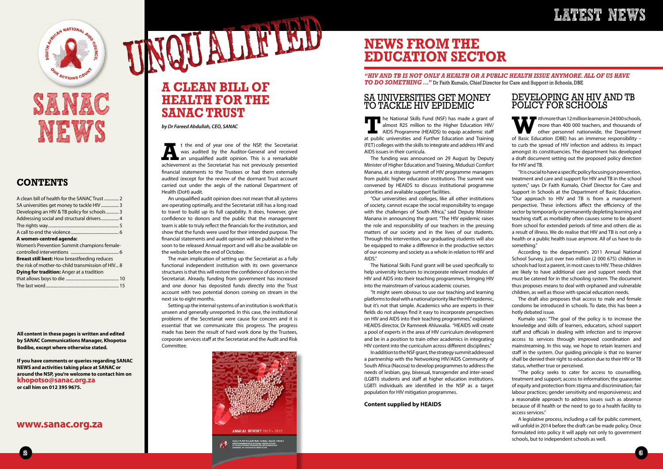

## **LATEST NEWS**

**All content in these pages is written and edited by SANAC Communications Manager, Khopotso Bodibe, except where otherwise stated.** 

**If you have comments or queries regarding SANAC NEWS and activities taking place at SANAC or around the NSP, you're welcome to contact him on khopotso@sanac.org.za or call him on 012 395 9675.**

**T**he National Skills Fund (NSF) has made a grant of almost R25 million to the Higher Education HIV/ AIDS Programme (HEAIDS) to equip academic staff at public universities and Further Education and Training (FET) colleges with the skills to integrate and address HIV and AIDS issues in their curricula.

### SA UNIVERSITIES GET MONEY TO TACKLE HIV EPIDEMIC

The funding was announced on 29 August by Deputy Minister of Higher Education and Training, Mduduzi Comfort Manana, at a strategy summit of HIV programme managers from public higher education institutions. The summit was convened by HEAIDS to discuss institutional programme priorities and available support facilities.

"Our universities and colleges, like all other institutions of society, cannot escape the social responsibility to engage with the challenges of South Africa," said Deputy Minister Manana in announcing the grant. "The HIV epidemic raises the role and responsibility of our teachers in the pressing matters of our society and in the lives of our students. Through this intervention, our graduating students will also be equipped to make a difference in the productive sectors of our economy and society as a whole in relation to HIV and AIDS."

The National Skills Fund grant will be used specifically to help university lecturers to incorporate relevant modules of HIV and AIDS into their teaching programmes, bringing HIV into the mainstream of various academic courses.

ith more than 12 million learners in 24000 schools,<br>more than 400 000 teachers, and thousands of<br>other personnel nationwide, the Department<br>of Basic Education (DBF) has an immense responsibility more than 400 000 teachers, and thousands of other personnel nationwide, the Department of Basic Education (DBE) has an immense responsibility – to curb the spread of HIV infection and address its impact amongst its constituencies. The department has developed a draft document setting out the proposed policy direction for HIV and TB.

"It might seem obvious to use our teaching and learning platforms to deal with a national priority like the HIV epidemic, but it's not that simple. Academics who are experts in their fields do not always find it easy to incorporate perspectives on HIV and AIDS into their teaching programmes," explained HEAIDS director, Dr Ramneek Ahluwalia. "HEAIDS will create a pool of experts in the area of HIV curriculum development and be in a position to train other academics in integrating HIV content into the curriculum across different disciplines."

In addition to the NSF grant, the strategy summit addressed a partnership with the Networking HIV/AIDS Community of South Africa (Nacosa) to develop programmes to address the needs of lesbian, gay, bisexual, transgender and inter-sexed (LGBTI) students and staff at higher education institutions. LGBTI individuals are identified in the NSP as a target population for HIV mitigation programmes.

#### **Content supplied by HEAIDS**

N NATIONAL

# **SANAC NEWS**

## **CONTENTS**

| A clean bill of health for the SANAC Trust  2       |
|-----------------------------------------------------|
|                                                     |
| Developing an HIV & TB policy for schools 3         |
| Addressing social and structural drivers 4          |
|                                                     |
|                                                     |
| A women-centred agenda:                             |
| Women's Prevention Summit champions female-         |
|                                                     |
| <b>Breast still best:</b> How breastfeeding reduces |
| the risk of mother-to-child transmission of HIV 8   |
| Dying for tradition: Anger at a tradition           |
|                                                     |
|                                                     |

If the end of year one of the NSP, the Secretariat<br>was audited by the Auditor-General and received<br>an unqualified audit opinion. This is a remarkable<br>achievement as the Secretariat has not previously presented was audited by the Auditor-General and received an unqualified audit opinion. This is a remarkable achievement as the Secretariat has not previously presented financial statements to the Trustees or had them externally audited (except for the review of the dormant Trust account carried out under the aegis of the national Department of Health (DoH) audit.

TALLONO

### **www.sanac.org.za**

## DEVELOPING AN HIV AND TB POLICY FOR SCHOOLS

"It is crucial to have a specific policy focusing on prevention, treatment and care and support for HIV and TB in the school system," says Dr Faith Kumalo, Chief Director for Care and Support in Schools at the Department of Basic Education. "Our approach to HIV and TB is from a management perspective. These infections affect the efficiency of the sector by temporarily or permanently depleting learning and teaching staff, as morbidity often causes some to be absent from school for extended periods of time and others die as a result of illness. We do realise that HIV and TB is not only a health or a public health issue anymore. All of us have to do something."

According to the department's 2011 Annual National School Survey, just over two million (2 000 675) children in schools had lost a parent, in most cases to HIV. These children are likely to have additional care and support needs that must be catered for in the schooling system. The document thus proposes means to deal with orphaned and vulnerable children, as well as those with special education needs.

The draft also proposes that access to male and female condoms be introduced in schools. To date, this has been a hotly debated issue.

Kumalo says: "The goal of the policy is to increase the knowledge and skills of learners, educators, school support staff and officials in dealing with infection and to improve access to services through improved coordination and mainstreaming. In this way, we hope to retain learners and staff in the system. Our quiding principle is that no learner shall be denied their right to education due to their HIV or TB status, whether true or perceived.

"The policy seeks to cater for access to counselling, treatment and support; access to information; the guarantee of equity and protection from stigma and discrimination; fair labour practices; gender sensitivity and responsiveness; and a reasonable approach to address issues such as absence because of ill health or the need to go to a health facility to access services."

A legislative process, including a call for public comment, will unfold in 2014 before the draft can be made policy. Once formulated into policy it will apply not only to government schools, but to independent schools as well.

*by Dr Fareed Abdullah, CEO, SANAC*

An unqualified audit opinion does not mean that all systems are operating optimally, and the Secretariat still has a long road to travel to build up its full capability. It does, however, give confidence to donors and the public that the management team is able to truly reflect the financials for the institution, and show that the funds were used for their intended purpose. The financial statements and audit opinion will be published in the soon to be released Annual report and will also be available on the website before the end of October.

The main implication of setting up the Secretariat as a fully functional independent institution with its own governance structures is that this will restore the confidence of donors in the Secretariat. Already, funding from government has increased and one donor has deposited funds directly into the Trust account with two potential donors coming on stream in the next six to eight months.

Setting up the internal systems of an institution is work that is unseen and generally unreported. In this case, the institutional problems of the Secretariat were cause for concern and it is essential that we communicate this progress. The progress made has been the result of hard work done by the Trustees, corporate services staff at the Secretariat and the Audit and Risk Committee.

## **A CLEAN BILL OF HEALTH FOR THE SANAC TRUST**

## **NEWS FROM THE EDUCATION SECTOR**

*"HIV and TB is not only a health or a public health issue anymore. All of us have to do something ..."* Dr Faith Kumalo, Chief Director for Care and Support in Schools, DBE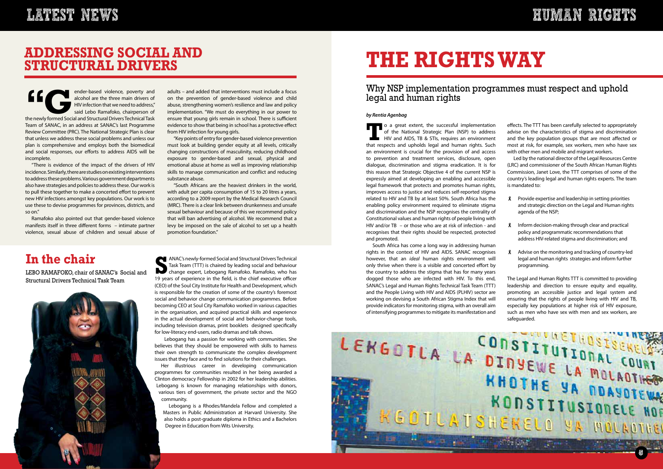**Example 12 and the newly formed Social and Structural Drivers Technical Task**<br>the newly formed Social and Structural Drivers Technical Task alcohol are the three main drivers of HIV infection that we need to address," said Lebo Ramafoko, chairperson of Team of SANAC, in an address at SANAC's last Programme Review Committee (PRC). The National Strategic Plan is clear that unless we address these social problems and unless our plan is comprehensive and employs both the biomedical and social responses, our efforts to address AIDS will be incomplete.

"There is evidence of the impact of the drivers of HIV incidence. Similarly, there are studies on existing interventions to address these problems. Various government departments also have strategies and policies to address these. Our work is to pull these together to make a concerted effort to prevent new HIV infections amongst key populations. Our work is to use these to devise programmes for provinces, districts, and so on."

Ramafoko also pointed out that gender-based violence manifests itself in three different forms – intimate partner violence, sexual abuse of children and sexual abuse of

## **LATEST NEWS HUMAN RIGHTS**



adults – and added that interventions must include a focus on the prevention of gender-based violence and child abuse, strengthening women's resilience and law and policy implementation. "We must do everything in our power to ensure that young girls remain in school. There is sufficient evidence to show that being in school has a protective effect from HIV infection for young girls.

**SP ANAC's newly-formed Social and Structural Drivers Technical<br>Task Team (TTT) is chaired by leading social and behaviour<br>change expert, Lebogang Ramafoko. Ramafoko, who has<br>19 years of experience in the field is the chie** Task Team (TTT) is chaired by leading social and behaviour change expert, Lebogang Ramafoko. Ramafoko, who has 19 years of experience in the field, is the chief executive officer (CEO) of the Soul City Institute for Health and Development, which is responsible for the creation of some of the country's foremost social and behavior change communication programmes. Before becoming CEO at Soul City Ramafoko worked in various capacities in the organisation, and acquired practical skills and experience in the actual development of social and behavior-change tools, including television dramas, print booklets designed specifically for low-literacy end-users, radio dramas and talk shows.

"Key points of entry for gender-based violence prevention must look at building gender equity at all levels, critically changing constructions of masculinity, reducing childhood exposure to gender-based and sexual, physical and emotional abuse at home as well as improving relationship skills to manage communication and conflict and reducing substance abuse.

"South Africans are the heaviest drinkers in the world, with adult per capita consumption of 15 to 20 litres a years, according to a 2009 report by the Medical Research Council (MRC). There is a clear link between drunkenness and unsafe sexual behaviour and because of this we recommend policy that will ban advertising of alcohol. We recommend that a levy be imposed on the sale of alcohol to set up a health promotion foundation."

## **addressING social and structural drivers**

## **In the chair**

LEBO RAMAFOKO, chair of SANAC's Social and Structural Drivers Technical Task Team



**To a great extent, the successful implementation**<br>of the National Strategic Plan (NSP) to address<br>HIV and AIDS, TB & STIs, requires an environment<br>that respects and upholds legal and buman rights. Such of the National Strategic Plan (NSP) to address HIV and AIDS, TB & STIs, requires an environment that respects and upholds legal and human rights. Such an environment is crucial for the provision of and access to prevention and treatment services, disclosure, open dialogue, discrimination and stigma eradication. It is for this reason that Strategic Objective 4 of the current NSP is expressly aimed at developing an enabling and accessible legal framework that protects and promotes human rights, improves access to justice and reduces self-reported stigma related to HIV and TB by at least 50%. South Africa has the enabling policy environment required to eliminate stigma and discrimination and the NSP recognises the centrality of Constitutional values and human rights of people living with HIV and/or TB – or those who are at risk of infection - and recognises that their rights should be respected, protected and promoted.

 Lebogang has a passion for working with communities. She believes that they should be empowered with skills to harness their own strength to communicate the complex development issues that they face and to find solutions for their challenges.



Her illustrious career in developing communication programmes for communities resulted in her being awarded a Clinton democracy Fellowship in 2002 for her leadership abilities. Lebogang is known for managing relationships with donors, various tiers of government, the private sector and the NGO community.

Lebogang is a Rhodes/Mandela Fellow and completed a Masters in Public Administration at Harvard University. She also holds a post-graduate diploma in Ethics and a Bachelors Degree in Education from Wits University.

# **THE RIGHTSWAY**

## Why NSP implementation programmes must respect and uphold legal and human rights

#### *by Rentia Agenbag*

South Africa has come a long way in addressing human rights in the context of HIV and AIDS. SANAC recognises however, that an *ideal* human rights environment will only thrive when there is a visible and concerted effort by the country to address the stigma that has for many years dogged those who are infected with HIV. To this end, SANAC's Legal and Human Rights Technical Task Team (TTT) and the People Living with HIV and AIDS (PLHIV) sector are working on devising a South African Stigma Index that will provide indicators for monitoring stigma, with an overall aim of intensifying programmes to mitigate its manifestation and

effects. The TTT has been carefully selected to appropriately advise on the characteristics of stigma and discrimination and the key population groups that are most affected or most at risk, for example, sex workers, men who have sex with other men and mobile and migrant workers.

Led by the national director of the Legal Resources Centre (LRC) and commissioner of the South African Human Rights Commission, Janet Love, the TTT comprises of some of the country's leading legal and human rights experts. The team is mandated to:

- Provide expertise and leadership in setting priorities and strategic direction on the Legal and Human rights agenda of the NSP;
- 8 Inform decision-making through clear and practical policy and programmatic recommendations that address HIV-related stigma and discrimination; and
- **8** Advise on the monitoring and tracking of country-led legal and human rights strategies and inform further programming.

The Legal and Human Rights TTT is committed to providing leadership and direction to ensure equity and equality, promoting an accessible justice and legal system and ensuring that the rights of people living with HIV and TB, especially key populations at higher risk of HIV exposure, such as men who have sex with men and sex workers, are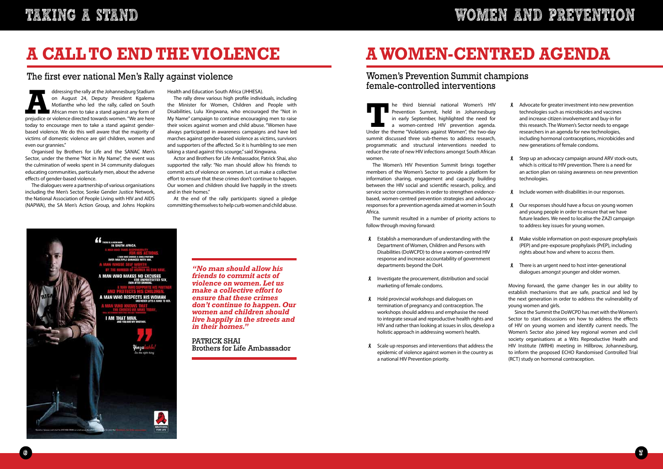**T**he third biennial national Women's HIV Under the theme "Violations against Women", the two-day Prevention Summit, held in Johannesburg in early September, highlighted the need for a women-centred HIV prevention agenda. summit discussed three sub-themes to address research, programmatic and structural interventions needed to reduce the rate of new HIV infections amongst South African women.

The Women's HIV Prevention Summit brings together members of the Women's Sector to provide a platform for information sharing, engagement and capacity building between the HIV social and scientific research, policy, and service sector communities in order to strengthen evidencebased, women-centred prevention strategies and advocacy responses for a prevention agenda aimed at women in South Africa.

- $\lambda$  Establish a memorandum of understanding with the Department of Women, Children and Persons with Disabilities (DoWCPD) to drive a women-centred HIV response and increase accountability of government departments beyond the DoH.
- $\beta$  Investigate the procurement, distribution and social marketing of female condoms.
- **8** Hold provincial workshops and dialogues on termination of pregnancy and contraception. The workshops should address and emphasise the need to integrate sexual and reproductive health rights and HIV and rather than looking at issues in silos, develop a holistic approach in addressing women's health.
- Scale up responses and interventions that address the epidemic of violence against women in the country as a national HIV Prevention priority.

The summit resulted in a number of priority actions to follow through moving forward:

Organised by Brothers for Life and the SANAC Men's Sector, under the theme "Not in My Name", the event was the culmination of weeks spent in 34 community dialogues educating communities, particularly men, about the adverse effects of gender-based violence.

- **A** Advocate for greater investment into new prevention technologies such as microbicides and vaccines and increase citizen involvement and buy-in for this research. The Women's Sector needs to engage researchers in an agenda for new technologies, including hormonal contraceptions, microbicides and new generations of female condoms.
- **8** Step up an advocacy campaign around ARV stock-outs, which is critical to HIV prevention. There is a need for an action plan on raising awareness on new prevention technologies.
- 8 Include women with disabilities in our responses.
- **8** Our responses should have a focus on young women and young people in order to ensure that we have future leaders. We need to localise the ZAZI campaign to address key issues for young women.
- 8 Make visible information on post-exposure prophylaxis (PEP) and pre-exposure prophylaxis (PrEP), including rights about how and where to access them.
- **8** There is an urgent need to host inter-generational dialogues amongst younger and older women.

The dialogues were a partnership of various organisations including the Men's Sector, Sonke Gender Justice Network, the National Association of People Living with HIV and AIDS (NAPWA), the SA Men's Action Group, and Johns Hopkins

Health and Education South Africa (JHHESA).

The rally drew various high profile individuals, including the Minister for Women, Children and People with Disabilities, Lulu Xingwana, who encouraged the "Not in My Name" campaign to continue encouraging men to raise their voices against women and child abuse. "Women have always participated in awareness campaigns and have led marches against gender-based violence as victims, survivors and supporters of the affected. So it is humbling to see men taking a stand against this scourge," said Xingwana.

Actor and Brothers for Life Ambassador, Patrick Shai, also supported the rally: "No man should allow his friends to commit acts of violence on women. Let us make a collective effort to ensure that these crimes don't continue to happen. Our women and children should live happily in the streets and in their homes."

At the end of the rally participants signed a pledge committing themselves to help curb women and child abuse.



# **A CALL TO END THEVIOLENCE**

## The first ever national Men's Rally against violence

ddressing the rally at the Johannesburg Stadium<br>
on August 24, Deputy President Kgalema<br>
Motlanthe who led the rally, called on South<br>
African men to take a stand against any form of<br>
prejudice or violence directed towards on August 24, Deputy President Kgalema Motlanthe who led the rally, called on South African men to take a stand against any form of today to encourage men to take a stand against genderbased violence. We do this well aware that the majority of victims of domestic violence are girl children, women and even our grannies."

# **AWOMEN-CENTRED AGENDA**

## Women's Prevention Summit champions female-controlled interventions

Moving forward, the game changer lies in our ability to establish mechanisms that are safe, practical and led by the next generation in order to address the vulnerability of young women and girls.

Since the Summit the DoWCPD has met with the Women's Sector to start discussions on how to address the effects of HIV on young women and identify current needs. The Women's Sector also joined key regional women and civil society organisations at a Wits Reproductive Health and HIV Institute (WRHI) meeting in Hillbrow, Johannesburg, to inform the proposed ECHO Randomised Controlled Trial (RCT) study on hormonal contraception.

*"No man should allow his friends to commit acts of violence on women. Let us make a collective effort to ensure that these crimes don't continue to happen. Our women and children should live happily in the streets and in their homes."* 

PATRICK SHAI Brothers for Life Ambassador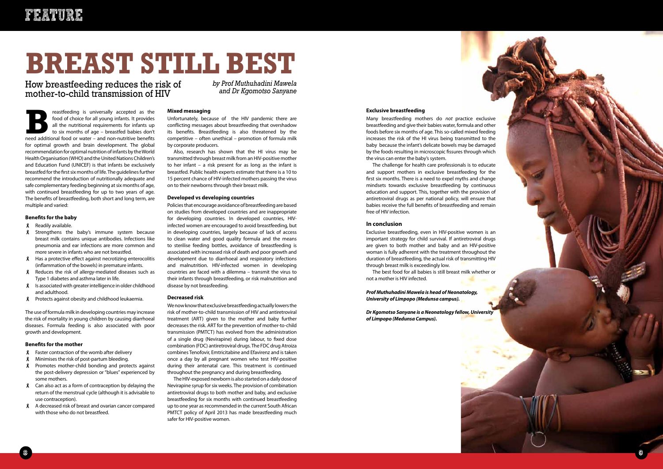



# **FEAT URE**

**Breastfeeding is universally accepted as the food of choice for all young infants. It provides all the nutritional requirements for infants up to six months of age – breastfed babies don't need additional food or water –** food of choice for all young infants. It provides all the nutritional requirements for infants up to six months of age – breastfed babies don't for optimal growth and brain development. The global recommendation for optimal nutrition of infants by the World Health Organisation (WHO) and the United Nations Children's and Education Fund (UNICEF) is that infants be exclusively breastfed for the first six months of life. The guidelines further recommend the introduction of nutritionally adequate and safe complementary feeding beginning at six months of age, with continued breastfeeding for up to two years of age. The benefits of breastfeeding, both short and long term, are multiple and varied:

- Readily available.
- **8** Strengthens the baby's immune system because breast milk contains unique antibodies. Infections like pneumonia and ear infections are more common and more severe in infants who are not breastfed.
- Has a protective effect against necrotizing enterocolitis (inflammation of the bowels) in premature infants.
- Reduces the risk of allergy-mediated diseases such as Type 1 diabetes and asthma later in life.
- $\ell$  Is associated with greater intelligence in older childhood and adulthood.
- 8 Protects against obesity and childhood leukaemia.

#### **Benefits for the baby**

- $\lambda$  Faster contraction of the womb after delivery
- **8** Minimises the risk of post-partum bleeding.
- **8** Promotes mother-child bonding and protects against the post-delivery depression or "blues" experienced by some mothers.
- $\lambda$  Can also act as a form of contraception by delaying the return of the menstrual cycle (although it is advisable to use contraception).
- A decreased risk of breast and ovarian cancer compared with those who do not breastfeed.

The use of formula milk in developing countries may increase the risk of mortality in young children by causing diarrhoeal diseases. Formula feeding is also associated with poor growth and development.

#### **Benefits for the mother**



Many breastfeeding mothers do *not* practice exclusive breastfeeding and give their babies water, formula and other foods before six months of age. This so-called mixed feeding increases the risk of the HI virus being transmitted to the baby because the infant's delicate bowels may be damaged by the foods resulting in microscopic fissures through which the virus can enter the baby's system.

The challenge for health care professionals is to educate and support mothers in exclusive breastfeeding for the first six months. There is a need to expel myths and change mindsets towards exclusive breastfeeding by continuous education and support. This, together with the provision of antiretroviral drugs as per national policy, will ensure that babies receive the full benefits of breastfeeding and remain free of HIV infection.

#### **In conclusion**

Exclusive breastfeeding, even in HIV-positive women is an important strategy for child survival. If antiretroviral drugs are given to both mother and baby and an HIV-positive woman is fully adherent with the treatment throughout the duration of breastfeeding, the actual risk of transmitting HIV through breast milk is exceedingly low.

The best food for all babies is still breast milk whether or not a mother is HIV infected.

#### *Prof Muthuhadini Mawela is head of Neonatology, University of Limpopo (Medunsa campus).*

*Dr Kgomotso Sanyane is a Neonatology fellow, University of Limpopo (Medunsa Campus).*

#### **Mixed messaging**

Unfortunately, because of the HIV pandemic there are conflicting messages about breastfeeding that overshadow its benefits. Breastfeeding is also threatened by the competitive – often unethical – promotion of formula milk by corporate producers.

Also, research has shown that the HI virus may be transmitted through breast milk from an HIV-positive mother to her infant – a risk present for as long as the infant is breastfed. Public health experts estimate that there is a 10 to 15 percent chance of HIV-infected mothers passing the virus on to their newborns through their breast milk.

#### **Developed vs developing countries**

Policies that encourage avoidance of breastfeeding are based on studies from developed countries and are inappropriate for developing countries. In developed countries, HIVinfected women are encouraged to avoid breastfeeding, but in developing countries, largely because of lack of access to clean water and good quality formula and the means to sterilise feeding bottles, avoidance of breastfeeding is associated with increased risk of death and poor growth and development due to diarrhoeal and respiratory infections and malnutrition. HIV-infected women in developing countries are faced with a dilemma – transmit the virus to their infants through breastfeeding, or risk malnutrition and disease by not breasfeeding.

#### **Decreased risk**

We now know that exclusive breastfeeding actually lowers the risk of mother-to-child transmission of HIV and antiretroviral treatment (ART) given to the mother and baby further decreases the risk. ART for the prevention of mother-to-child transmission (PMTCT) has evolved from the administration of a single drug (Nevirapine) during labour, to fixed dose combination (FDC) antiretroviral drugs. The FDC drug Atroiza combines Tenofovir, Emtricitabine and Efavirenz and is taken once a day by all pregnant women who test HIV-positive during their antenatal care. This treatment is continued throughout the pregnancy and during breastfeeding.

The HIV-exposed newborn is also started on a daily dose of Nevirapine syrup for six weeks. The provision of combination antiretroviral drugs to both mother and baby, and exclusive breastfeeding for six months with continued breastfeeding up to one year as recommended in the current South African PMTCT policy of April 2013 has made breastfeeding much safer for HIV-positive women.

# **BREAST STILL BEST**

How breastfeeding reduces the risk of mother-to-child transmission of HIV

*by Prof Muthuhadini Mawela and Dr Kgomotso Sanyane*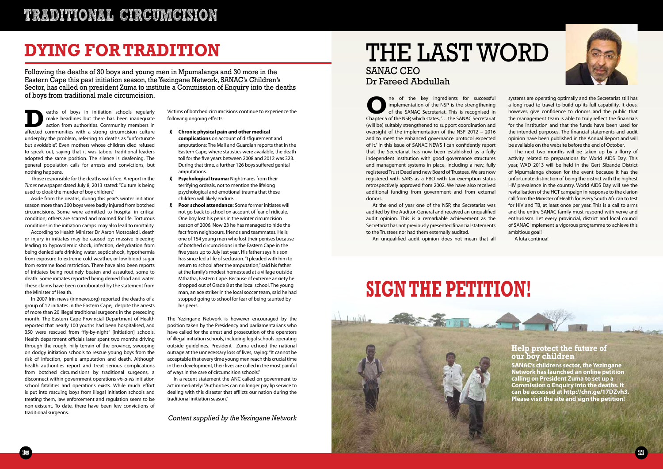





# **TRADITIONAL CIRCUMCISION**

# THE LAST WORD SANAC CEO Dr Fareed Abdullah

**O**ne of the key ingredients for successful<br>
of the SANAC Secretariat. This is recognised in<br>
Chanter 5 of the NSP which states " the SANAC Secretariat implementation of the NSP is the strengthening of the SANAC Secretariat. This is recognised in Chapter 5 of the NSP, which states, "… the SANAC Secretariat (will be) suitably strengthened to support coordination and oversight of the implementation of the NSP 2012 – 2016 and to meet the enhanced governance protocol expected of it." In this issue of SANAC NEWS I can confidently report that the Secretariat has now been established as a fully independent institution with good governance structures and management systems in place, including a new, fully registered Trust Deed and new Board of Trustees. We are now registered with SARS as a PBO with tax exemption status retrospectively approved from 2002. We have also received additional funding from government and from external donors.

At the end of year one of the NSP, the Secretariat was audited by the Auditor-General and received an unqualified audit opinion. This is a remarkable achievement as the Secretariat has not previously presented financial statements to the Trustees nor had them externally audited.

An unqualified audit opinion does not mean that all

systems are operating optimally and the Secretariat still has a long road to travel to build up its full capability. It does, however, give confidence to donors and the public that the management team is able to truly reflect the financials for the institution and that the funds have been used for the intended purposes. The financial statements and audit opinion have been published in the Annual Report and will be available on the website before the end of October.

eaths of boys in initiation schools regularly<br>make headlines but there has been inadequate<br>action from authorities. Community members in<br>affected communities with a strong circumcision culture make headlines but there has been inadequate action from authorities. Community members in affected communities with a strong circumcision culture underplay the problem, referring to deaths as "unfortunate but avoidable". Even mothers whose children died refused to speak out, saying that it was taboo. Traditional leaders adopted the same position. The silence is deafening. The general population calls for arrests and convictions, but nothing happens.

The next two months will be taken up by a flurry of activity related to preparations for World AIDS Day. This year, WAD 2013 will be held in the Gert Sibande District of Mpumalanga chosen for the event because it has the unfortunate distinction of being the district with the highest HIV prevalence in the country. World AIDS Day will see the revitalisation of the HCT campaign in response to the clarion call from the Minister of Health for every South African to test for HIV and TB, at least once per year. This is a call to arms and the entire SANAC family must respond with verve and enthusiasm. Let every provincial, district and local council of SANAC implement a vigorous programme to achieve this ambitious goal!

A luta continua!



# **DYING For TRADITION**

Following the deaths of 30 boys and young men in Mpumalanga and 30 more in the Eastern Cape this past initiation season, the Yezingane Network, SANAC's Children's Sector, has called on president Zuma to institute a Commission of Enquiry into the deaths of boys from traditional male circumcision.

Those responsible for the deaths walk free. A report in the *Times* newspaper dated July 8, 2013 stated: "Culture is being used to cloak the murder of boy children."

Aside from the deaths, during this year's winter initiation season more than 300 boys were badly injured from botched circumcisions. Some were admitted to hospital in critical condition; others are scarred and maimed for life. Torturous conditions in the initiation camps may also lead to mortality.

According to Health Minister Dr Aaron Motsoaledi, death or injury in initiates may be caused by: massive bleeding leading to hypovolemic shock, infection, dehydration from being denied safe drinking water, septic shock, hypothermia from exposure to extreme cold weather, or low blood sugar from extreme food restriction. There have also been reports of initiates being routinely beaten and assaulted, some to death. Some initiates reported being denied food and water. These claims have been corroborated by the statement from the Minister of Health.

In 2007 Irin news (irinnews.org) reported the deaths of a group of 12 initiates in the Eastern Cape, despite the arrests of more than 20 illegal traditional surgeons in the preceding month. The Eastern Cape Provincial Department of Health reported that nearly 100 youths had been hospitalised, and 350 were rescued from "fly-by-night" [initiation] schools. Health department officials later spent two months driving through the rough, hilly terrain of the province, swooping on dodgy initiation schools to rescue young boys from the risk of infection, penile amputation and death. Although health authorities report and treat serious complications from botched circumcisions by traditional surgeons, a disconnect within government operations *vis-a-vis* initiation school fatalities and operations exists. While much effort is put into rescuing boys from illegal initiation schools and treating them, law enforcement and regulation seem to be non-existent. To date, there have been few convictions of traditional surgeons.

Victims of botched circumcisions continue to experience the following ongoing effects:

- **Chronic physical pain and other medical complications** on account of disfigurement and amputations: The Mail and Guardian reports that in the Eastern Cape, where statistics were available, the death toll for the five years between 2008 and 2012 was 323. During that time, a further 126 boys suffered genital amputations.
- **Psychological trauma:** Nightmares from their terrifying ordeals, not to mention the lifelong psychological and emotional trauma that these children will likely endure.
- **Poor school attendance:** Some former initiates will not go back to school on account of fear of ridicule. One boy lost his penis in the winter circumcision season of 2006. Now 23 he has managed to hide the fact from neighbours, friends and teammates. He is one of 154 young men who lost their penises because of botched circumcisions in the Eastern Cape in the five years up to July last year. His father says his son has since led a life of seclusion. "I pleaded with him to return to school after the amputation," said his father at the family's modest homestead at a village outside Mthatha, Eastern Cape. Because of extreme anxiety he dropped out of Grade 8 at the local school. The young man, an ace striker in the local soccer team, said he had stopped going to school for fear of being taunted by his peers.

The Yezingane Network is however encouraged by the position taken by the Presidency and parliamentarians who have called for the arrest and prosecution of the operators of illegal initiation schools, including legal schools operating outside guidelines. President Zuma echoed the national outrage at the unnecessary loss of lives, saying: "It cannot be acceptable that every time young men reach this crucial time in their development, their lives are culled in the most painful of ways in the care of circumcision schools."

In a recent statement the ANC called on government to act immediately: "Authorities can no longer pay lip service to dealing with this disaster that afflicts our nation during the traditional initiation season."

# **SIGN THE PETITION!**

*Content supplied by the Yezingane Network* 

#### **Help protect the future of our boy children**

**SANAC's childrens sector, the Yezingane Network has launched an online petition calling on President Zuma to set up a Commission o Enquiry into the deaths. It can be accessed at http://chn.ge/17DZvh3. Please visit the site and sign the petition!**